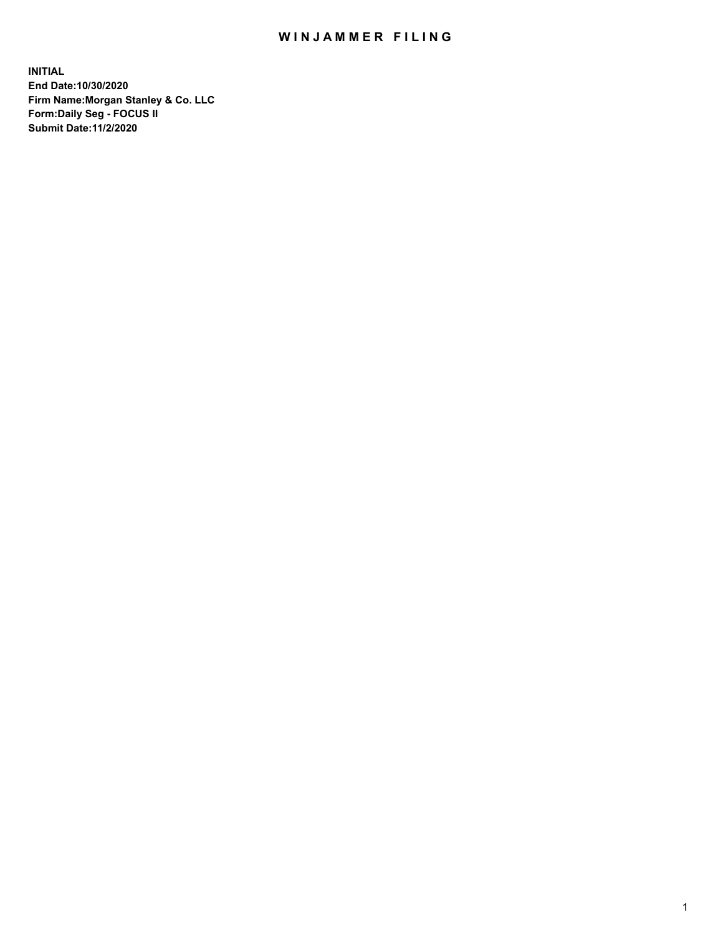## WIN JAMMER FILING

**INITIAL End Date:10/30/2020 Firm Name:Morgan Stanley & Co. LLC Form:Daily Seg - FOCUS II Submit Date:11/2/2020**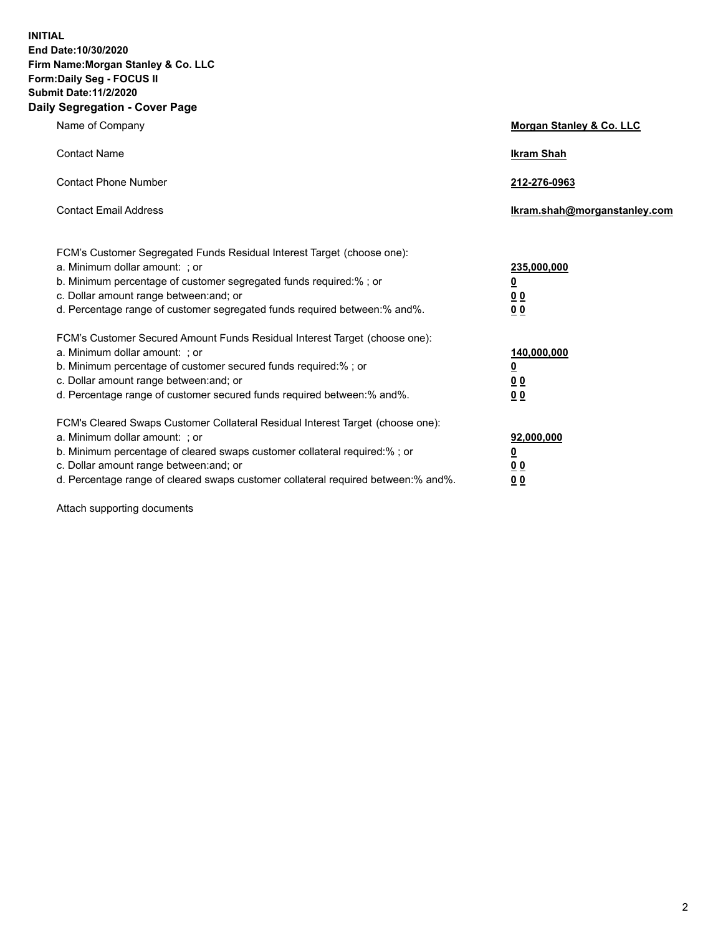**INITIAL End Date:10/30/2020 Firm Name:Morgan Stanley & Co. LLC Form:Daily Seg - FOCUS II Submit Date:11/2/2020 Daily Segregation - Cover Page**

| Name of Company                                                                                                                                                                                                                                                                                                                | Morgan Stanley & Co. LLC                                    |
|--------------------------------------------------------------------------------------------------------------------------------------------------------------------------------------------------------------------------------------------------------------------------------------------------------------------------------|-------------------------------------------------------------|
| <b>Contact Name</b>                                                                                                                                                                                                                                                                                                            | <b>Ikram Shah</b>                                           |
| <b>Contact Phone Number</b>                                                                                                                                                                                                                                                                                                    | 212-276-0963                                                |
| <b>Contact Email Address</b>                                                                                                                                                                                                                                                                                                   | lkram.shah@morganstanley.com                                |
| FCM's Customer Segregated Funds Residual Interest Target (choose one):<br>a. Minimum dollar amount: ; or<br>b. Minimum percentage of customer segregated funds required:% ; or<br>c. Dollar amount range between: and; or<br>d. Percentage range of customer segregated funds required between:% and%.                         | 235,000,000<br><u>0</u><br>0 <sup>0</sup><br>00             |
| FCM's Customer Secured Amount Funds Residual Interest Target (choose one):<br>a. Minimum dollar amount: : or<br>b. Minimum percentage of customer secured funds required:%; or<br>c. Dollar amount range between: and; or<br>d. Percentage range of customer secured funds required between: % and %.                          | 140,000,000<br><u>0</u><br>0 <sub>0</sub><br>0 <sub>0</sub> |
| FCM's Cleared Swaps Customer Collateral Residual Interest Target (choose one):<br>a. Minimum dollar amount: ; or<br>b. Minimum percentage of cleared swaps customer collateral required:% ; or<br>c. Dollar amount range between: and; or<br>d. Percentage range of cleared swaps customer collateral required between:% and%. | 92,000,000<br><u>0</u><br><u>00</u><br>00                   |

Attach supporting documents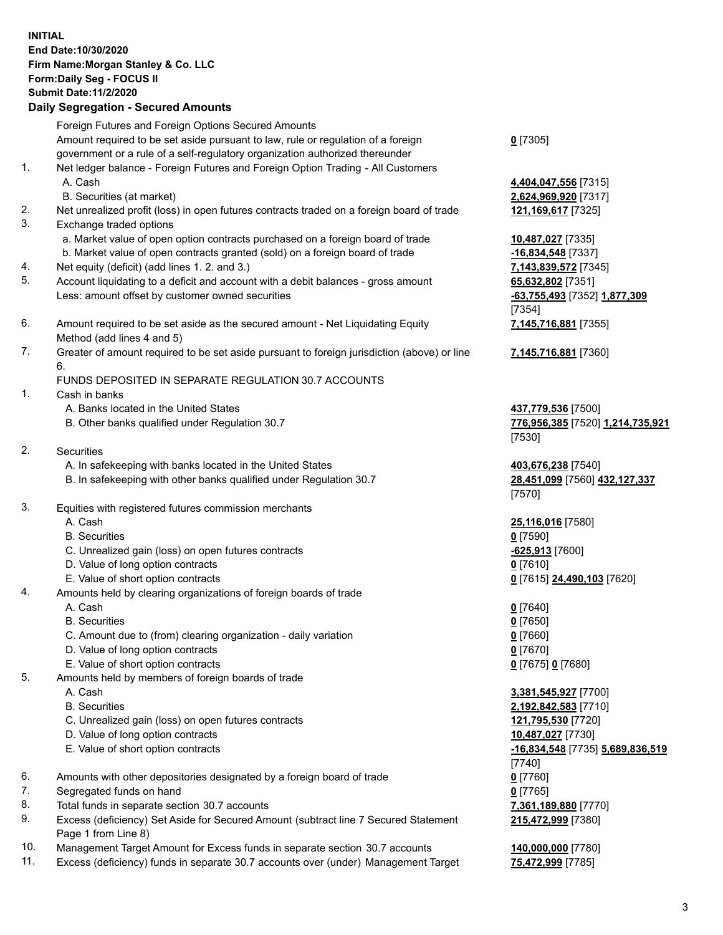## **INITIAL End Date:10/30/2020 Firm Name:Morgan Stanley & Co. LLC Form:Daily Seg - FOCUS II Submit Date:11/2/2020 Daily Segregation - Secured Amounts** Foreign Futures and Foreign Options Secured Amounts Amount required to be set aside pursuant to law, rule or regulation of a foreign government or a rule of a self-regulatory organization authorized thereunder 1. Net ledger balance - Foreign Futures and Foreign Option Trading - All Customers A. Cash **4,404,047,556** [7315] B. Securities (at market) **2,624,969,920** [7317] 2. Net unrealized profit (loss) in open futures contracts traded on a foreign board of trade **121,169,617** [7325] 3. Exchange traded options a. Market value of open option contracts purchased on a foreign board of trade **10,487,027** [7335] b. Market value of open contracts granted (sold) on a foreign board of trade **-16,834,548** [7337] 4. Net equity (deficit) (add lines 1. 2. and 3.) **7,143,839,572** [7345] 5. Account liquidating to a deficit and account with a debit balances - gross amount **65,632,802** [7351] Less: amount offset by customer owned securities **-63,755,493** [7352] **1,877,309** 6. Amount required to be set aside as the secured amount - Net Liquidating Equity Method (add lines 4 and 5) 7. Greater of amount required to be set aside pursuant to foreign jurisdiction (above) or line 6. FUNDS DEPOSITED IN SEPARATE REGULATION 30.7 ACCOUNTS 1. Cash in banks A. Banks located in the United States **437,779,536** [7500] B. Other banks qualified under Regulation 30.7 **776,956,385** [7520] **1,214,735,921** 2. Securities A. In safekeeping with banks located in the United States **403,676,238** [7540] B. In safekeeping with other banks qualified under Regulation 30.7 **28,451,099** [7560] **432,127,337** 3. Equities with registered futures commission merchants A. Cash **25,116,016** [7580] B. Securities **0** [7590] C. Unrealized gain (loss) on open futures contracts **-625,913** [7600] D. Value of long option contracts **0** [7610] E. Value of short option contracts **0** [7615] **24,490,103** [7620] 4. Amounts held by clearing organizations of foreign boards of trade A. Cash **0** [7640] B. Securities **0** [7650] C. Amount due to (from) clearing organization - daily variation **0** [7660] D. Value of long option contracts **0** [7670] E. Value of short option contracts **0** [7675] **0** [7680] 5. Amounts held by members of foreign boards of trade A. Cash **3,381,545,927** [7700]

- 
- 
- C. Unrealized gain (loss) on open futures contracts **121,795,530** [7720]
- D. Value of long option contracts **10,487,027** [7730]
- E. Value of short option contracts **-16,834,548** [7735] **5,689,836,519**
- 6. Amounts with other depositories designated by a foreign board of trade **0** [7760]
- 7. Segregated funds on hand **0** [7765]
- 8. Total funds in separate section 30.7 accounts **7,361,189,880** [7770]
- 9. Excess (deficiency) Set Aside for Secured Amount (subtract line 7 Secured Statement Page 1 from Line 8)
- 10. Management Target Amount for Excess funds in separate section 30.7 accounts **140,000,000** [7780]
- 11. Excess (deficiency) funds in separate 30.7 accounts over (under) Management Target **75,472,999** [7785]

**0** [7305]

[7354] **7,145,716,881** [7355]

**7,145,716,881** [7360]

[7530]

[7570]

 B. Securities **2,192,842,583** [7710] [7740] **215,472,999** [7380]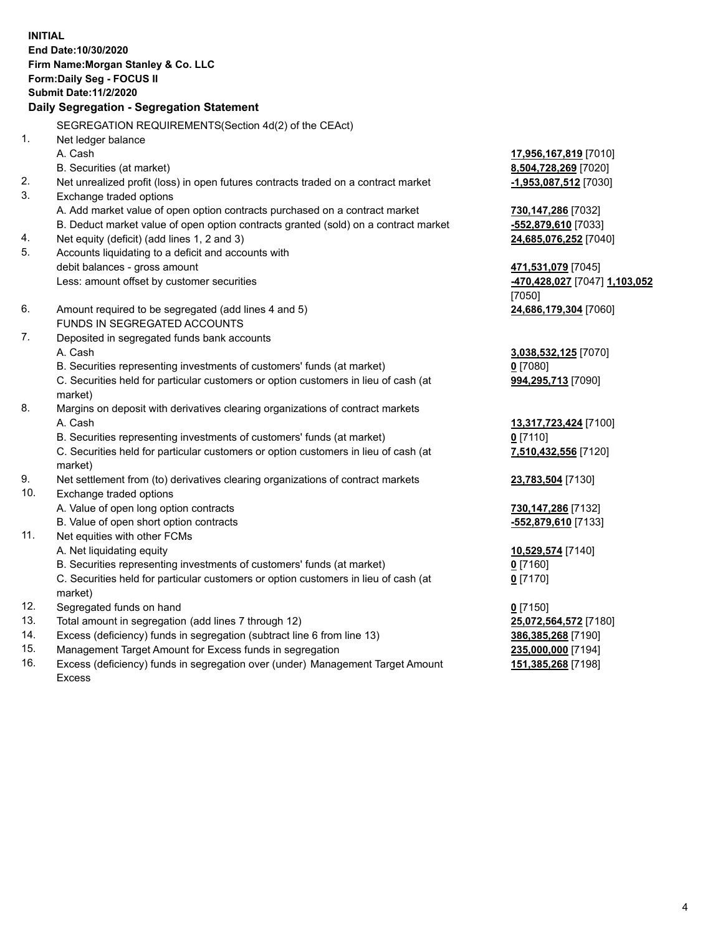**INITIAL End Date:10/30/2020 Firm Name:Morgan Stanley & Co. LLC Form:Daily Seg - FOCUS II Submit Date:11/2/2020 Daily Segregation - Segregation Statement** SEGREGATION REQUIREMENTS(Section 4d(2) of the CEAct) 1. Net ledger balance A. Cash **17,956,167,819** [7010] B. Securities (at market) **8,504,728,269** [7020] 2. Net unrealized profit (loss) in open futures contracts traded on a contract market **-1,953,087,512** [7030] 3. Exchange traded options A. Add market value of open option contracts purchased on a contract market **730,147,286** [7032] B. Deduct market value of open option contracts granted (sold) on a contract market **-552,879,610** [7033] 4. Net equity (deficit) (add lines 1, 2 and 3) **24,685,076,252** [7040] 5. Accounts liquidating to a deficit and accounts with debit balances - gross amount **471,531,079** [7045] Less: amount offset by customer securities **-470,428,027** [7047] **1,103,052** [7050] 6. Amount required to be segregated (add lines 4 and 5) **24,686,179,304** [7060] FUNDS IN SEGREGATED ACCOUNTS 7. Deposited in segregated funds bank accounts A. Cash **3,038,532,125** [7070] B. Securities representing investments of customers' funds (at market) **0** [7080] C. Securities held for particular customers or option customers in lieu of cash (at market) **994,295,713** [7090] 8. Margins on deposit with derivatives clearing organizations of contract markets A. Cash **13,317,723,424** [7100] B. Securities representing investments of customers' funds (at market) **0** [7110] C. Securities held for particular customers or option customers in lieu of cash (at market) **7,510,432,556** [7120] 9. Net settlement from (to) derivatives clearing organizations of contract markets **23,783,504** [7130] 10. Exchange traded options A. Value of open long option contracts **730,147,286** [7132] B. Value of open short option contracts **-552,879,610** [7133] 11. Net equities with other FCMs A. Net liquidating equity **10,529,574** [7140] B. Securities representing investments of customers' funds (at market) **0** [7160] C. Securities held for particular customers or option customers in lieu of cash (at market) **0** [7170] 12. Segregated funds on hand **0** [7150] 13. Total amount in segregation (add lines 7 through 12) **25,072,564,572** [7180] 14. Excess (deficiency) funds in segregation (subtract line 6 from line 13) **386,385,268** [7190] 15. Management Target Amount for Excess funds in segregation **235,000,000** [7194]

- 16. Excess (deficiency) funds in segregation over (under) Management Target Amount
	- Excess

**151,385,268** [7198]